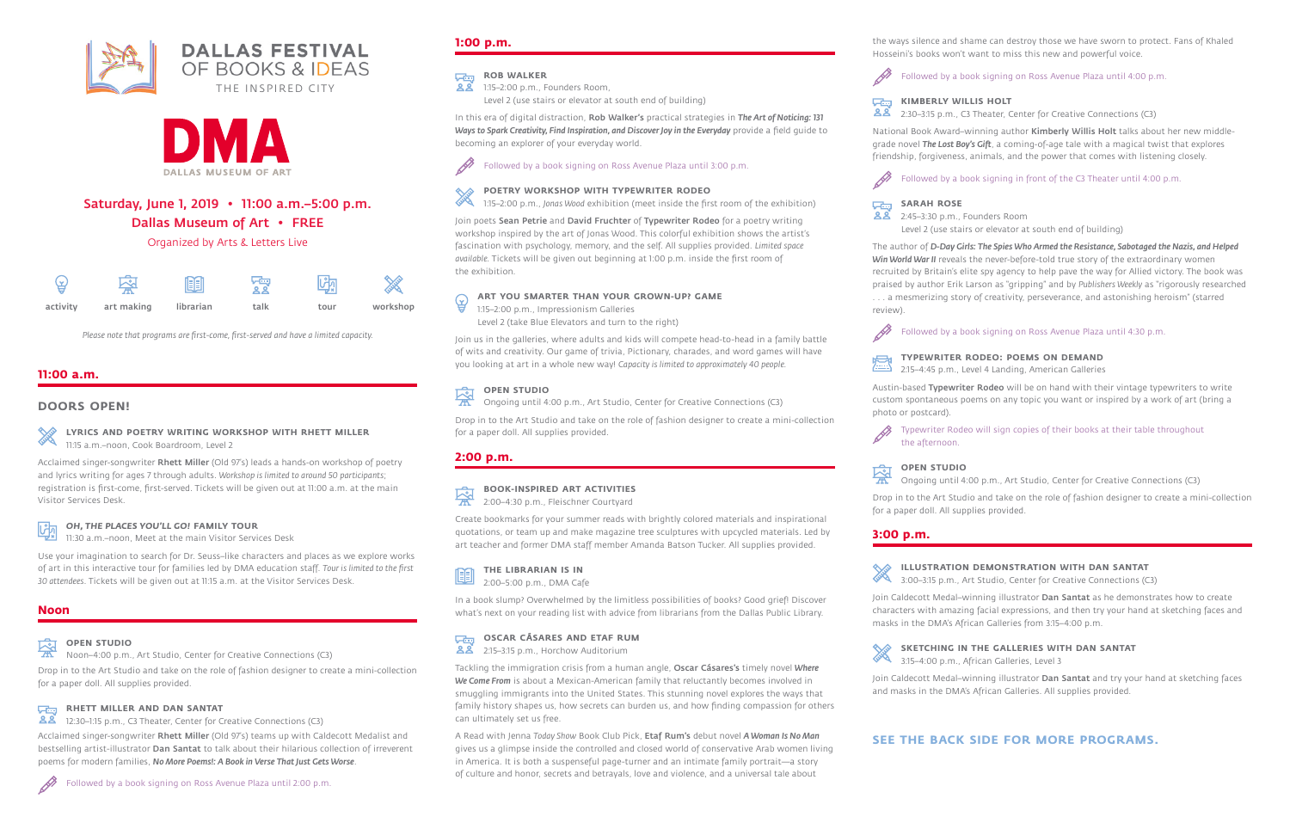# Saturday, June 1, 2019 • 11:00 a.m.–5:00 p.m.

Dallas Museum of Art • FREE

Organized by Arts & Letters Live

# **11:00 a.m.**

## **DOORS OPEN!**

**LYRICS AND POETRY WRITING WORKSHOP WITH RHETT MILLER** 11:15 a.m.–noon, Cook Boardroom, Level 2

Acclaimed singer-songwriter Rhett Miller (Old 97's) leads a hands-on workshop of poetry and lyrics writing for ages 7 through adults. *Workshop is limited to around 50 participants*; registration is first-come, first-served. Tickets will be given out at 11:00 a.m. at the main Visitor Services Desk.

### *OH, THE PLACES YOU'LL GO!* **FAMILY TOUR**

11:30 a.m.–noon, Meet at the main Visitor Services Desk

Use your imagination to search for Dr. Seuss–like characters and places as we explore works of art in this interactive tour for families led by DMA education staff. *Tour is limited to the first 30 attendees*. Tickets will be given out at 11:15 a.m. at the Visitor Services Desk.

#### **ROB WALKER Villa**

## **Noon**

# **OPEN STUDIO**

Noon–4:00 p.m., Art Studio, Center for Creative Connections (C3)

D Followed by a book signing on Ross Avenue Plaza until 3:00 p.m.

Drop in to the Art Studio and take on the role of fashion designer to create a mini-collection for a paper doll. All supplies provided.

# **RHETT MILLER AND DAN SANTAT**

12:30–1:15 p.m., C3 Theater, Center for Creative Connections (C3)

Join poets Sean Petrie and David Fruchter of Typewriter Rodeo for a poetry writing workshop inspired by the art of Jonas Wood. This colorful exhibition shows the artist's fascination with psychology, memory, and the self. All supplies provided. *Limited space available.* Tickets will be given out beginning at 1:00 p.m. inside the first room of the exhibition.

#### **ART YOU SMARTER THAN YOUR GROWN-UP? GAME** ਉ

Acclaimed singer-songwriter Rhett Miller (Old 97's) teams up with Caldecott Medalist and bestselling artist-illustrator Dan Santat to talk about their hilarious collection of irreverent poems for modern families, *No More Poems!: A Book in Verse That Just Gets Worse*.

#### 恖 **OPEN STUDIO**

# **1:00 p.m.**

1:15–2:00 p.m., Founders Room,  $28$ Level 2 (use stairs or elevator at south end of building)

In this era of digital distraction, Rob Walker's practical strategies in *The Art of Noticing: 131 Ways to Spark Creativity, Find Inspiration, and Discover Joy in the Everyday* provide a field guide to becoming an explorer of your everyday world.

### **POETRY WORKSHOP WITH TYPEWRITER RODEO**

1:15–2:00 p.m., *Jonas Wood* exhibition (meet inside the first room of the exhibition)

1:15–2:00 p.m., Impressionism Galleries Level 2 (take Blue Elevators and turn to the right)

Join us in the galleries, where adults and kids will compete head-to-head in a family battle of wits and creativity. Our game of trivia, Pictionary, charades, and word games will have you looking at art in a whole new way! *Capacity is limited to approximately 40 people.*

Ongoing until 4:00 p.m., Art Studio, Center for Creative Connections (C3)

Austin-based Typewriter Rodeo will be on hand with their vintage typewriters to write custom spontaneous poems on any topic you want or inspired by a work of art (bring a

Drop in to the Art Studio and take on the role of fashion designer to create a mini-collection for a paper doll. All supplies provided.

# **2:00 p.m.**

**BOOK-INSPIRED ART ACTIVITIES**

2:00–4:30 p.m., Fleischner Courtyard

Create bookmarks for your summer reads with brightly colored materials and inspirational quotations, or team up and make magazine tree sculptures with upcycled materials. Led by art teacher and former DMA staff member Amanda Batson Tucker. All supplies provided.

> Join Caldecott Medal-winning illustrator Dan Santat as he demonstrates how to create characters with amazing facial expressions, and then try your hand at sketching faces and masks in the DMA's African Galleries from 3:15–4:00 p.m.

| <b>THE LIBRARIAN IS IN</b> |
|----------------------------|
|----------------------------|

Join Caldecott Medal-winning illustrator Dan Santat and try your hand at sketching faces and masks in the DMA's African Galleries. All supplies provided.

In a book slump? Overwhelmed by the limitless possibilities of books? Good grief! Discover what's next on your reading list with advice from librarians from the Dallas Public Library.

# **OSCAR CÁSARES AND ETAF RUM**

**22** 2:15–3:15 p.m., Horchow Auditorium

Tackling the immigration crisis from a human angle, Oscar Cásares's timely novel *Where We Come From* is about a Mexican-American family that reluctantly becomes involved in smuggling immigrants into the United States. This stunning novel explores the ways that family history shapes us, how secrets can burden us, and how finding compassion for others can ultimately set us free.

A Read with Jenna *Today Show* Book Club Pick, Etaf Rum's debut novel *A Woman Is No Man* gives us a glimpse inside the controlled and closed world of conservative Arab women living in America. It is both a suspenseful page-turner and an intimate family portrait—a story of culture and honor, secrets and betrayals, love and violence, and a universal tale about

the ways silence and shame can destroy those we have sworn to protect. Fans of Khaled Hosseini's books won't want to miss this new and powerful voice.

# P

**View** க்க

Followed by a book signing on Ross Avenue Plaza until 4:00 p.m.

### **KIMBERLY WILLIS HOLT**

2:30–3:15 p.m., C3 Theater, Center for Creative Connections (C3)

National Book Award–winning author Kimberly Willis Holt talks about her new middlegrade novel *The Lost Boy's Gift*, a coming-of-age tale with a magical twist that explores friendship, forgiveness, animals, and the power that comes with listening closely.



**SARAH ROSE** க்க

Followed by a book signing in front of the C3 Theater until 4:00 p.m.

2:45–3:30 p.m., Founders Room Level 2 (use stairs or elevator at south end of building)

The author of *D-Day Girls: The Spies Who Armed the Resistance, Sabotaged the Nazis, and Helped Win World War II* reveals the never-before-told true story of the extraordinary women recruited by Britain's elite spy agency to help pave the way for Allied victory. The book was praised by author Erik Larson as "gripping" and by *Publishers Weekly* as "rigorously researched . . . a mesmerizing story of creativity, perseverance, and astonishing heroism" (starred review).

P



#### Followed by a book signing on Ross Avenue Plaza until 4:30 p.m.

#### **TYPEWRITER RODEO: POEMS ON DEMAND**

2:15–4:45 p.m., Level 4 Landing, American Galleries

photo or postcard).

Typewriter Rodeo will sign copies of their books at their table throughout

the afternoon.

**OPEN STUDIO**

Ongoing until 4:00 p.m., Art Studio, Center for Creative Connections (C3)

Drop in to the Art Studio and take on the role of fashion designer to create a mini-collection for a paper doll. All supplies provided.

# **3:00 p.m.**

#### **ILLUSTRATION DEMONSTRATION WITH DAN SANTAT**

3:00–3:15 p.m., Art Studio, Center for Creative Connections (C3)

#### **SKETCHING IN THE GALLERIES WITH DAN SANTAT**

3:15–4:00 p.m., African Galleries, Level 3

# **SEE THE BACK SIDE FOR MORE PROGRAMS.**



**EEI** 2:00–5:00 p.m., DMA Cafe

| 낳        |            | 阃         | '영   |      | ⋙        |
|----------|------------|-----------|------|------|----------|
| activity | art making | librarian | talk | tour | workshop |

*Please note that programs are first-come, first-served and have a limited capacity.*